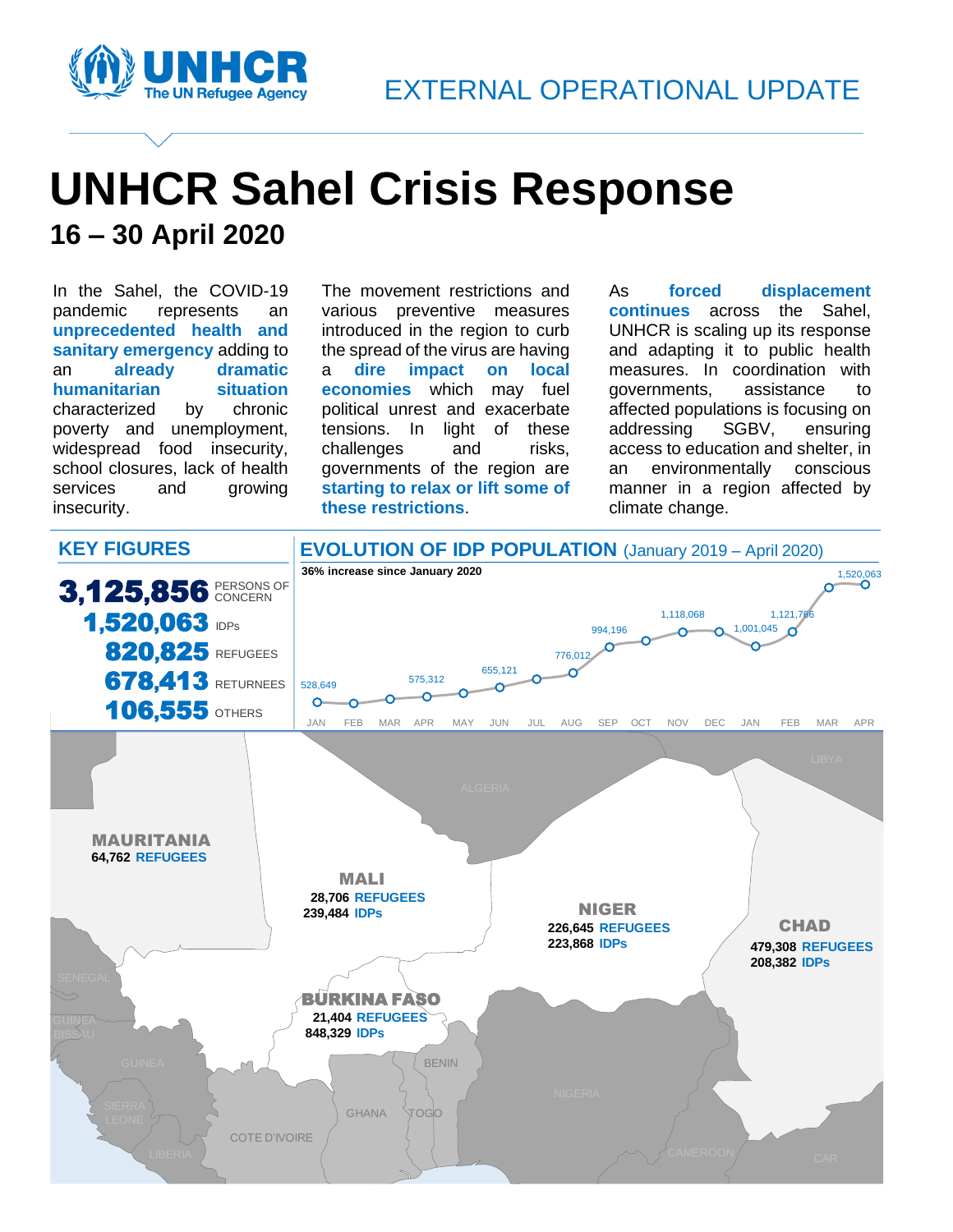

# **UNHCR Sahel Crisis Response 16 – 30 April 2020**

In the Sahel, the COVID-19 pandemic represents an **unprecedented health and sanitary emergency** adding to an **already dramatic humanitarian situation** characterized by chronic poverty and unemployment, widespread food insecurity, school closures, lack of health services and growing insecurity.

The movement restrictions and various preventive measures introduced in the region to curb the spread of the virus are having a **dire impact on local economies** which may fuel political unrest and exacerbate tensions. In light of these challenges and risks, governments of the region are **starting to relax or lift some of these restrictions**.

As **forced displacement continues** across the Sahel, UNHCR is scaling up its response and adapting it to public health measures. In coordination with governments, assistance to affected populations is focusing on addressing SGBV, ensuring access to education and shelter, in an environmentally conscious manner in a region affected by climate change.

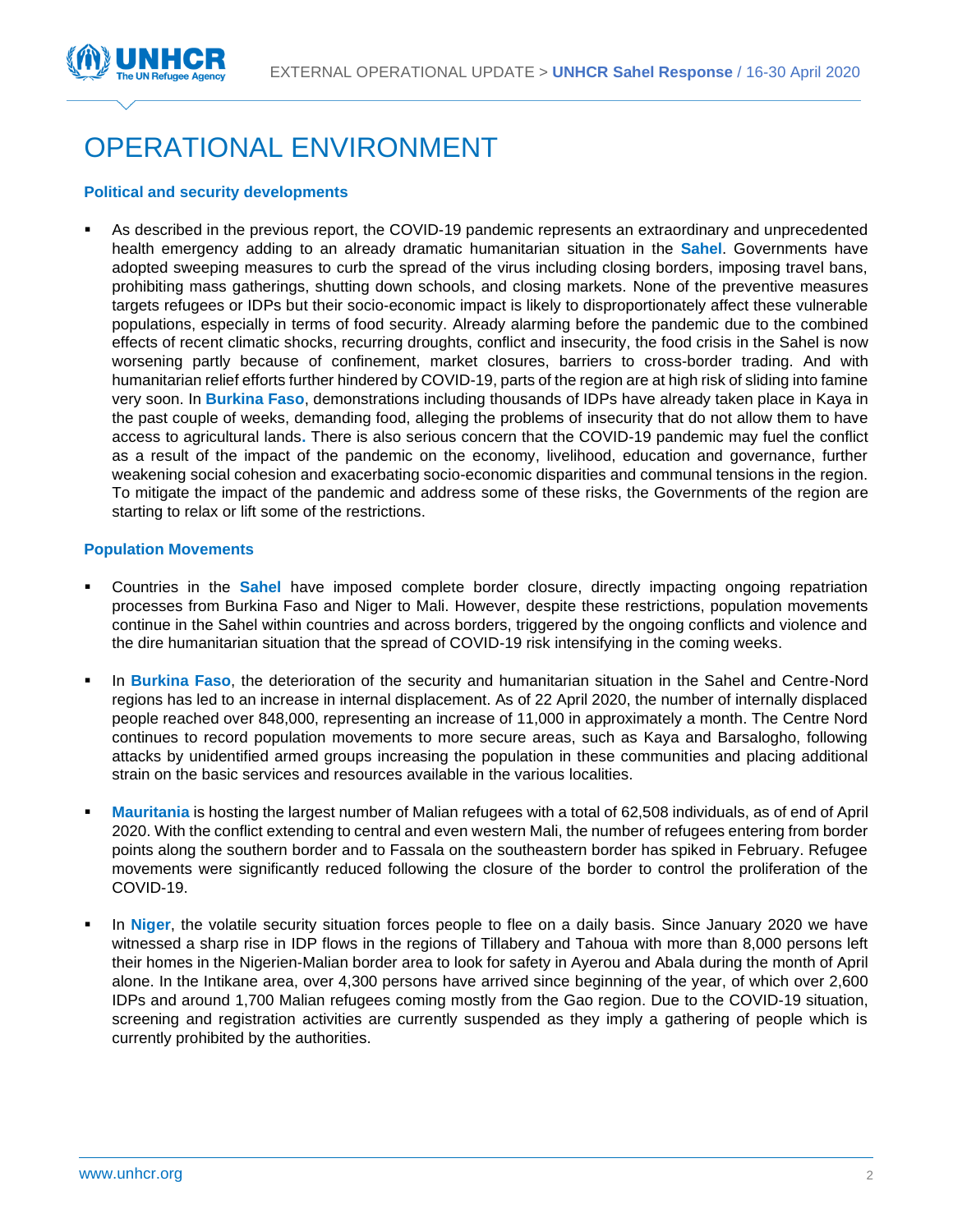

## OPERATIONAL ENVIRONMENT

### **Political and security developments**

As described in the previous report, the COVID-19 pandemic represents an extraordinary and unprecedented health emergency adding to an already dramatic humanitarian situation in the **Sahel**. Governments have adopted sweeping measures to curb the spread of the virus including closing borders, imposing travel bans, prohibiting mass gatherings, shutting down schools, and closing markets. None of the preventive measures targets refugees or IDPs but their socio-economic impact is likely to disproportionately affect these vulnerable populations, especially in terms of food security. Already alarming before the pandemic due to the combined effects of recent climatic shocks, recurring droughts, conflict and insecurity, the food crisis in the Sahel is now worsening partly because of confinement, market closures, barriers to cross-border trading. And with humanitarian relief efforts further hindered by COVID-19, parts of the region are at high risk of sliding into famine very soon. In **Burkina Faso**, demonstrations including thousands of IDPs have already taken place in Kaya in the past couple of weeks, demanding food, alleging the problems of insecurity that do not allow them to have access to agricultural lands**.** There is also serious concern that the COVID-19 pandemic may fuel the conflict as a result of the impact of the pandemic on the economy, livelihood, education and governance, further weakening social cohesion and exacerbating socio-economic disparities and communal tensions in the region. To mitigate the impact of the pandemic and address some of these risks, the Governments of the region are starting to relax or lift some of the restrictions.

### **Population Movements**

- Countries in the **Sahel** have imposed complete border closure, directly impacting ongoing repatriation processes from Burkina Faso and Niger to Mali. However, despite these restrictions, population movements continue in the Sahel within countries and across borders, triggered by the ongoing conflicts and violence and the dire humanitarian situation that the spread of COVID-19 risk intensifying in the coming weeks.
- In **Burkina Faso**, the deterioration of the security and humanitarian situation in the Sahel and Centre-Nord regions has led to an increase in internal displacement. As of 22 April 2020, the number of internally displaced people reached over 848,000, representing an increase of 11,000 in approximately a month. The Centre Nord continues to record population movements to more secure areas, such as Kaya and Barsalogho, following attacks by unidentified armed groups increasing the population in these communities and placing additional strain on the basic services and resources available in the various localities.
- **Mauritania** is hosting the largest number of Malian refugees with a total of 62,508 individuals, as of end of April 2020. With the conflict extending to central and even western Mali, the number of refugees entering from border points along the southern border and to Fassala on the southeastern border has spiked in February. Refugee movements were significantly reduced following the closure of the border to control the proliferation of the COVID-19.
- In Niger, the volatile security situation forces people to flee on a daily basis. Since January 2020 we have witnessed a sharp rise in IDP flows in the regions of Tillabery and Tahoua with more than 8,000 persons left their homes in the Nigerien-Malian border area to look for safety in Ayerou and Abala during the month of April alone. In the Intikane area, over 4,300 persons have arrived since beginning of the year, of which over 2,600 IDPs and around 1,700 Malian refugees coming mostly from the Gao region. Due to the COVID-19 situation, screening and registration activities are currently suspended as they imply a gathering of people which is currently prohibited by the authorities.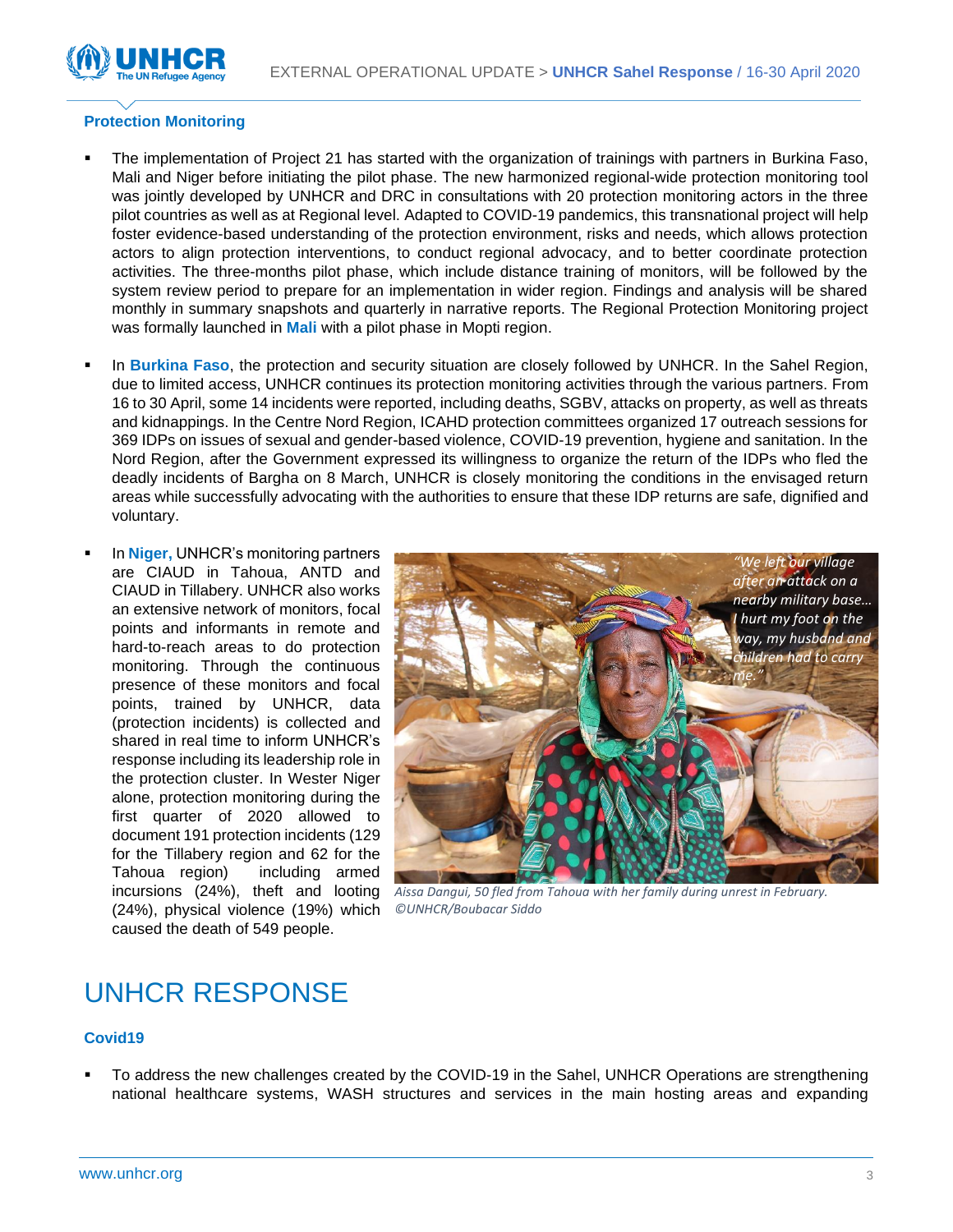

### **Protection Monitoring**

- The implementation of Project 21 has started with the organization of trainings with partners in Burkina Faso, Mali and Niger before initiating the pilot phase. The new harmonized regional-wide protection monitoring tool was jointly developed by UNHCR and DRC in consultations with 20 protection monitoring actors in the three pilot countries as well as at Regional level. Adapted to COVID-19 pandemics, this transnational project will help foster evidence-based understanding of the protection environment, risks and needs, which allows protection actors to align protection interventions, to conduct regional advocacy, and to better coordinate protection activities. The three-months pilot phase, which include distance training of monitors, will be followed by the system review period to prepare for an implementation in wider region. Findings and analysis will be shared monthly in summary snapshots and quarterly in narrative reports. The Regional Protection Monitoring project was formally launched in **Mali** with a pilot phase in Mopti region.
- In **Burkina Faso**, the protection and security situation are closely followed by UNHCR. In the Sahel Region, due to limited access, UNHCR continues its protection monitoring activities through the various partners. From 16 to 30 April, some 14 incidents were reported, including deaths, SGBV, attacks on property, as well as threats and kidnappings. In the Centre Nord Region, ICAHD protection committees organized 17 outreach sessions for 369 IDPs on issues of sexual and gender-based violence, COVID-19 prevention, hygiene and sanitation. In the Nord Region, after the Government expressed its willingness to organize the return of the IDPs who fled the deadly incidents of Bargha on 8 March, UNHCR is closely monitoring the conditions in the envisaged return areas while successfully advocating with the authorities to ensure that these IDP returns are safe, dignified and voluntary.
- In **Niger**, UNHCR's monitoring partners are CIAUD in Tahoua, ANTD and CIAUD in Tillabery. UNHCR also works an extensive network of monitors, focal points and informants in remote and hard-to-reach areas to do protection monitoring. Through the continuous presence of these monitors and focal points, trained by UNHCR, data (protection incidents) is collected and shared in real time to inform UNHCR's response including its leadership role in the protection cluster. In Wester Niger alone, protection monitoring during the first quarter of 2020 allowed to document 191 protection incidents (129 for the Tillabery region and 62 for the Tahoua region) including armed (24%), physical violence (19%) which caused the death of 549 people.



incursions (24%), theft and looting *Aissa Dangui, 50 fled from Tahoua with her family during unrest in February. ©UNHCR/Boubacar Siddo*

### UNHCR RESPONSE

### **Covid19**

To address the new challenges created by the COVID-19 in the Sahel, UNHCR Operations are strengthening national healthcare systems, WASH structures and services in the main hosting areas and expanding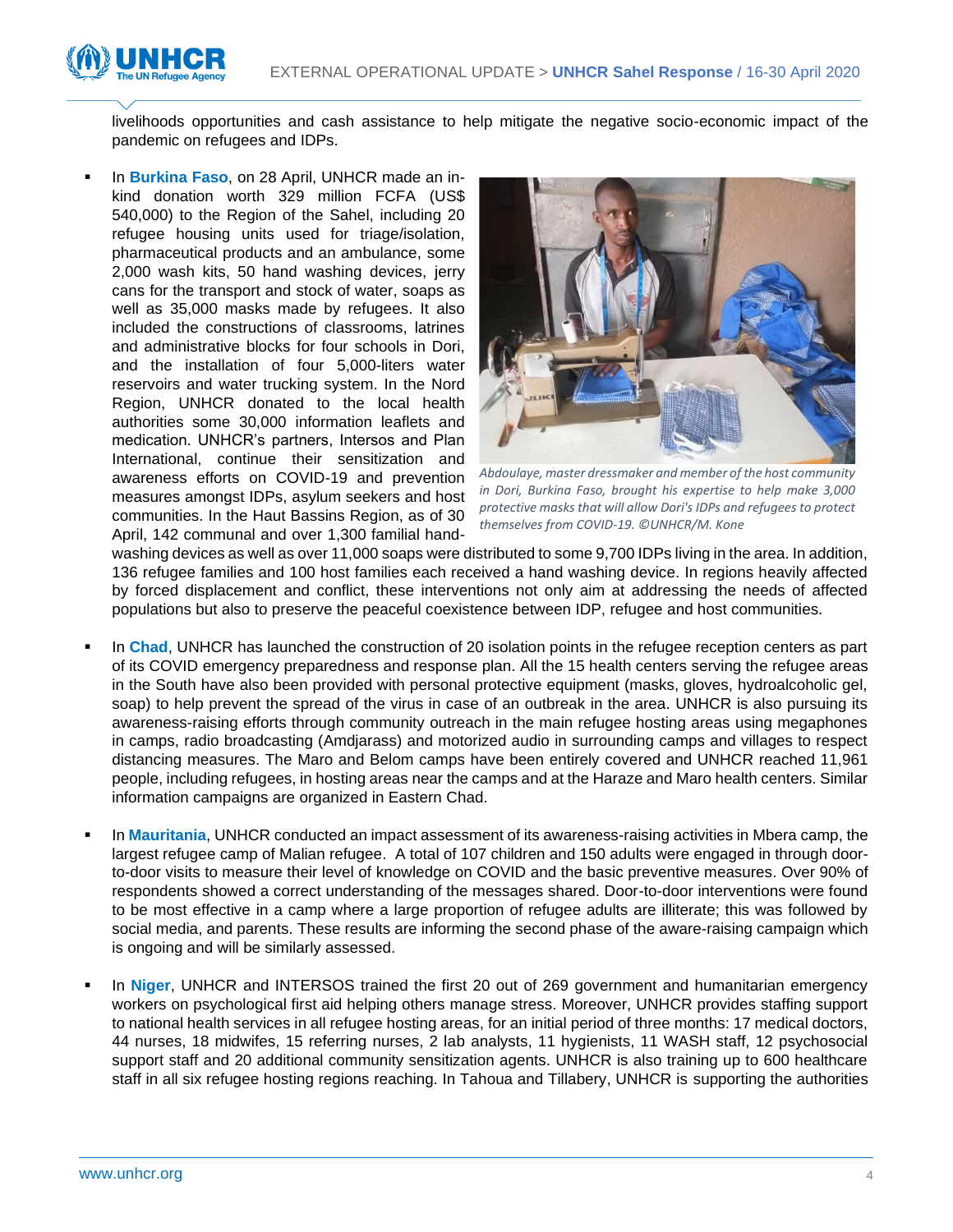EXTERNAL OPERATIONAL UPDATE > **UNHCR Sahel Response** / 16-30 April 2020



livelihoods opportunities and cash assistance to help mitigate the negative socio-economic impact of the pandemic on refugees and IDPs.

In **Burkina Faso**, on 28 April, UNHCR made an inkind donation worth 329 million FCFA (US\$ 540,000) to the Region of the Sahel, including 20 refugee housing units used for triage/isolation, pharmaceutical products and an ambulance, some 2,000 wash kits, 50 hand washing devices, jerry cans for the transport and stock of water, soaps as well as 35,000 masks made by refugees. It also included the constructions of classrooms, latrines and administrative blocks for four schools in Dori, and the installation of four 5,000-liters water reservoirs and water trucking system. In the Nord Region, UNHCR donated to the local health authorities some 30,000 information leaflets and medication. UNHCR's partners, Intersos and Plan International, continue their sensitization and awareness efforts on COVID-19 and prevention measures amongst IDPs, asylum seekers and host communities. In the Haut Bassins Region, as of 30 April, 142 communal and over 1,300 familial hand-



*Abdoulaye, master dressmaker and member of the host community in Dori, Burkina Faso, brought his expertise to help make 3,000 protective masks that will allow Dori's IDPs and refugees to protect themselves from COVID-19. ©UNHCR/M. Kone*

washing devices as well as over 11,000 soaps were distributed to some 9,700 IDPs living in the area. In addition, 136 refugee families and 100 host families each received a hand washing device. In regions heavily affected by forced displacement and conflict, these interventions not only aim at addressing the needs of affected populations but also to preserve the peaceful coexistence between IDP, refugee and host communities.

- In Chad, UNHCR has launched the construction of 20 isolation points in the refugee reception centers as part of its COVID emergency preparedness and response plan. All the 15 health centers serving the refugee areas in the South have also been provided with personal protective equipment (masks, gloves, hydroalcoholic gel, soap) to help prevent the spread of the virus in case of an outbreak in the area. UNHCR is also pursuing its awareness-raising efforts through community outreach in the main refugee hosting areas using megaphones in camps, radio broadcasting (Amdjarass) and motorized audio in surrounding camps and villages to respect distancing measures. The Maro and Belom camps have been entirely covered and UNHCR reached 11,961 people, including refugees, in hosting areas near the camps and at the Haraze and Maro health centers. Similar information campaigns are organized in Eastern Chad.
- In Mauritania, UNHCR conducted an impact assessment of its awareness-raising activities in Mbera camp, the largest refugee camp of Malian refugee. A total of 107 children and 150 adults were engaged in through doorto-door visits to measure their level of knowledge on COVID and the basic preventive measures. Over 90% of respondents showed a correct understanding of the messages shared. Door-to-door interventions were found to be most effective in a camp where a large proportion of refugee adults are illiterate; this was followed by social media, and parents. These results are informing the second phase of the aware-raising campaign which is ongoing and will be similarly assessed.
- In Niger, UNHCR and INTERSOS trained the first 20 out of 269 government and humanitarian emergency workers on psychological first aid helping others manage stress. Moreover, UNHCR provides staffing support to national health services in all refugee hosting areas, for an initial period of three months: 17 medical doctors, 44 nurses, 18 midwifes, 15 referring nurses, 2 lab analysts, 11 hygienists, 11 WASH staff, 12 psychosocial support staff and 20 additional community sensitization agents. UNHCR is also training up to 600 healthcare staff in all six refugee hosting regions reaching. In Tahoua and Tillabery, UNHCR is supporting the authorities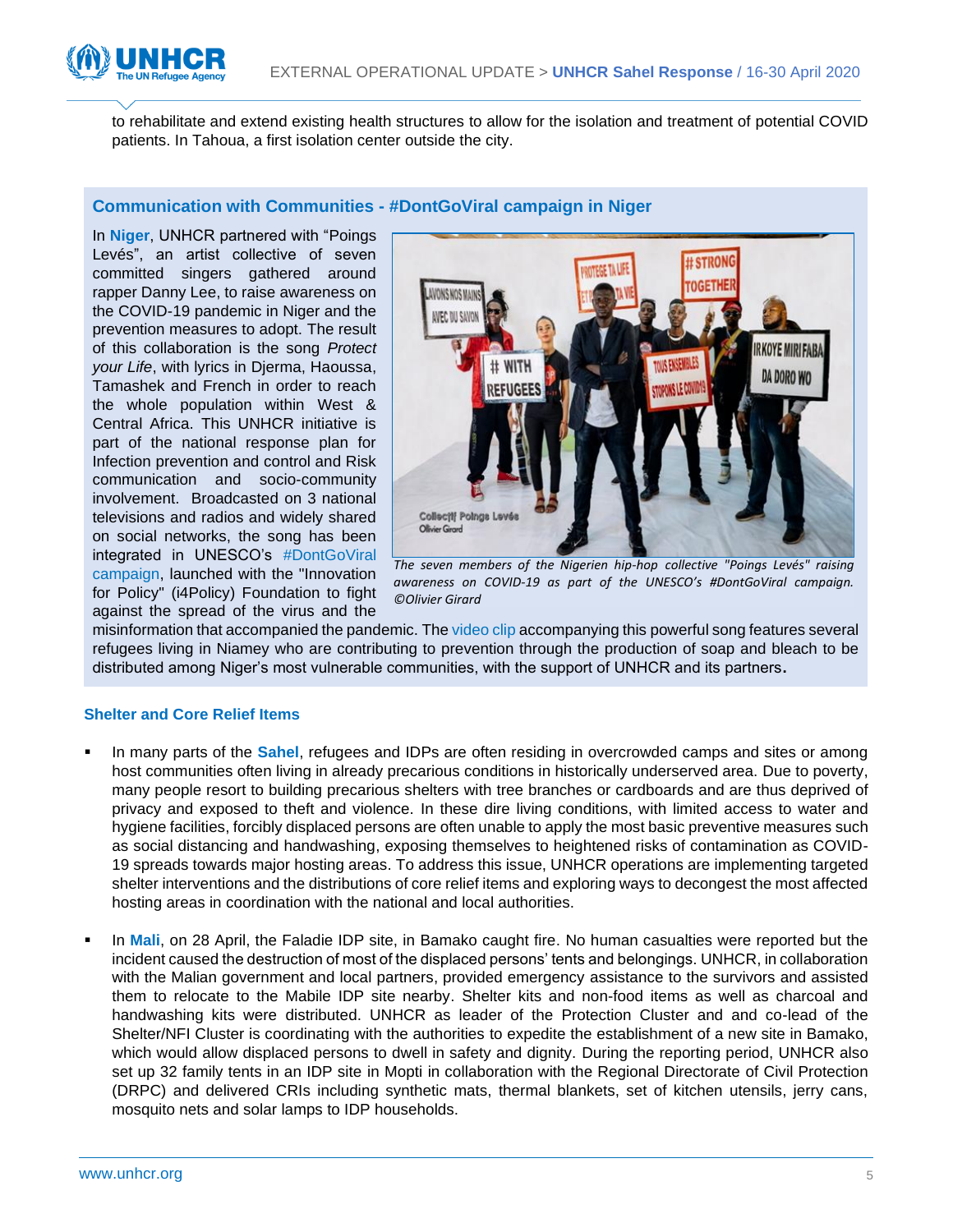

to rehabilitate and extend existing health structures to allow for the isolation and treatment of potential COVID patients. In Tahoua, a first isolation center outside the city.

### **Communication with Communities - [#DontGoViral campaign](http://www.dontgoviral.wiki/index.php/Welcome) in Niger**

In **Niger**, UNHCR partnered with "Poings Levés", an artist collective of seven committed singers gathered around rapper Danny Lee, to raise awareness on the COVID-19 pandemic in Niger and the prevention measures to adopt. The result of this collaboration is the song *Protect your Life*, with lyrics in Djerma, Haoussa, Tamashek and French in order to reach the whole population within West & Central Africa. This UNHCR initiative is part of the national response plan for Infection prevention and control and Risk communication and socio-community involvement. Broadcasted on 3 national televisions and radios and widely shared on social networks, the song has been integrated in UNESCO's [#DontGoViral](http://www.dontgoviral.wiki/index.php/Welcome)  [campaign,](http://www.dontgoviral.wiki/index.php/Welcome) launched with the "Innovation for Policy" (i4Policy) Foundation to fight against the spread of the virus and the



*The seven members of the Nigerien hip-hop collective "Poings Levés" raising awareness on COVID-19 as part of the UNESCO's #DontGoViral campaign. ©Olivier Girard*

misinformation that accompanied the pandemic. Th[e video clip](https://www.youtube.com/embed/53ce1Z0iF6s) accompanying this powerful song features several refugees living in Niamey who are contributing to prevention through the production of soap and bleach to be distributed among Niger's most vulnerable communities, with the support of UNHCR and its partners**.**

### **Shelter and Core Relief Items**

- In many parts of the **Sahel**, refugees and IDPs are often residing in overcrowded camps and sites or among host communities often living in already precarious conditions in historically underserved area. Due to poverty, many people resort to building precarious shelters with tree branches or cardboards and are thus deprived of privacy and exposed to theft and violence. In these dire living conditions, with limited access to water and hygiene facilities, forcibly displaced persons are often unable to apply the most basic preventive measures such as social distancing and handwashing, exposing themselves to heightened risks of contamination as COVID-19 spreads towards major hosting areas. To address this issue, UNHCR operations are implementing targeted shelter interventions and the distributions of core relief items and exploring ways to decongest the most affected hosting areas in coordination with the national and local authorities.
- In Mali, on 28 April, the Faladie IDP site, in Bamako caught fire. No human casualties were reported but the incident caused the destruction of most of the displaced persons' tents and belongings. UNHCR, in collaboration with the Malian government and local partners, provided emergency assistance to the survivors and assisted them to relocate to the Mabile IDP site nearby. Shelter kits and non-food items as well as charcoal and handwashing kits were distributed. UNHCR as leader of the Protection Cluster and and co-lead of the Shelter/NFI Cluster is coordinating with the authorities to expedite the establishment of a new site in Bamako, which would allow displaced persons to dwell in safety and dignity. During the reporting period, UNHCR also set up 32 family tents in an IDP site in Mopti in collaboration with the Regional Directorate of Civil Protection (DRPC) and delivered CRIs including synthetic mats, thermal blankets, set of kitchen utensils, jerry cans, mosquito nets and solar lamps to IDP households.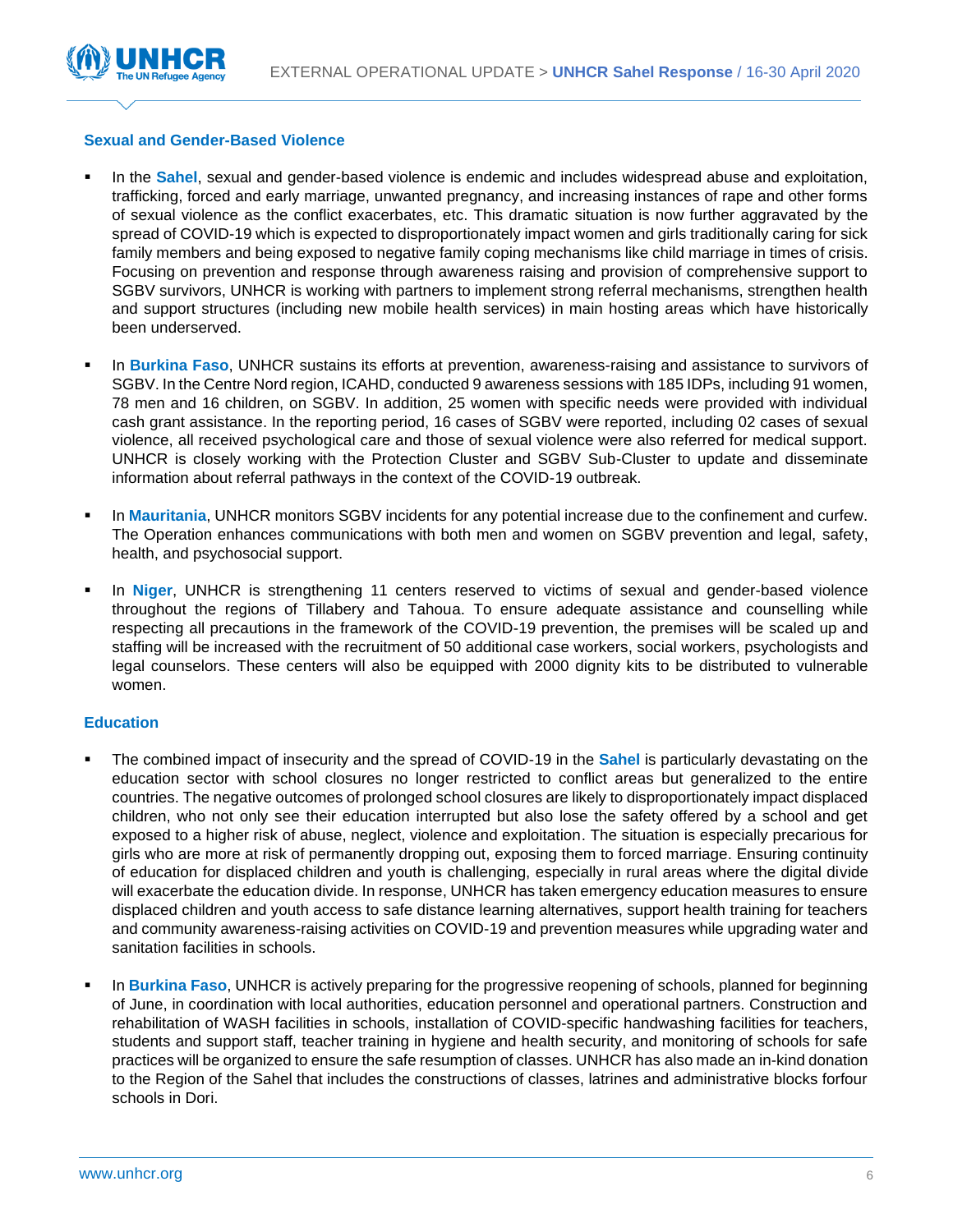

### **Sexual and Gender-Based Violence**

- In the **Sahel**, sexual and gender-based violence is endemic and includes widespread abuse and exploitation, trafficking, forced and early marriage, unwanted pregnancy, and increasing instances of rape and other forms of sexual violence as the conflict exacerbates, etc. This dramatic situation is now further aggravated by the spread of COVID-19 which is expected to disproportionately impact women and girls traditionally caring for sick family members and being exposed to negative family coping mechanisms like child marriage in times of crisis. Focusing on prevention and response through awareness raising and provision of comprehensive support to SGBV survivors, UNHCR is working with partners to implement strong referral mechanisms, strengthen health and support structures (including new mobile health services) in main hosting areas which have historically been underserved.
- In **Burkina Faso**, UNHCR sustains its efforts at prevention, awareness-raising and assistance to survivors of SGBV. In the Centre Nord region, ICAHD, conducted 9 awareness sessions with 185 IDPs, including 91 women, 78 men and 16 children, on SGBV. In addition, 25 women with specific needs were provided with individual cash grant assistance. In the reporting period, 16 cases of SGBV were reported, including 02 cases of sexual violence, all received psychological care and those of sexual violence were also referred for medical support. UNHCR is closely working with the Protection Cluster and SGBV Sub-Cluster to update and disseminate information about referral pathways in the context of the COVID-19 outbreak.
- In **Mauritania**, UNHCR monitors SGBV incidents for any potential increase due to the confinement and curfew. The Operation enhances communications with both men and women on SGBV prevention and legal, safety, health, and psychosocial support.
- In Niger, UNHCR is strengthening 11 centers reserved to victims of sexual and gender-based violence throughout the regions of Tillabery and Tahoua. To ensure adequate assistance and counselling while respecting all precautions in the framework of the COVID-19 prevention, the premises will be scaled up and staffing will be increased with the recruitment of 50 additional case workers, social workers, psychologists and legal counselors. These centers will also be equipped with 2000 dignity kits to be distributed to vulnerable women.

### **Education**

- The combined impact of insecurity and the spread of COVID-19 in the **Sahel** is particularly devastating on the education sector with school closures no longer restricted to conflict areas but generalized to the entire countries. The negative outcomes of prolonged school closures are likely to disproportionately impact displaced children, who not only see their education interrupted but also lose the safety offered by a school and get exposed to a higher risk of abuse, neglect, violence and exploitation. The situation is especially precarious for girls who are more at risk of permanently dropping out, exposing them to forced marriage. Ensuring continuity of education for displaced children and youth is challenging, especially in rural areas where the digital divide will exacerbate the education divide. In response, UNHCR has taken emergency education measures to ensure displaced children and youth access to safe distance learning alternatives, support health training for teachers and community awareness-raising activities on COVID-19 and prevention measures while upgrading water and sanitation facilities in schools.
- In **Burkina Faso**, UNHCR is actively preparing for the progressive reopening of schools, planned for beginning of June, in coordination with local authorities, education personnel and operational partners. Construction and rehabilitation of WASH facilities in schools, installation of COVID-specific handwashing facilities for teachers, students and support staff, teacher training in hygiene and health security, and monitoring of schools for safe practices will be organized to ensure the safe resumption of classes. UNHCR has also made an in-kind donation to the Region of the Sahel that includes the constructions of classes, latrines and administrative blocks forfour schools in Dori.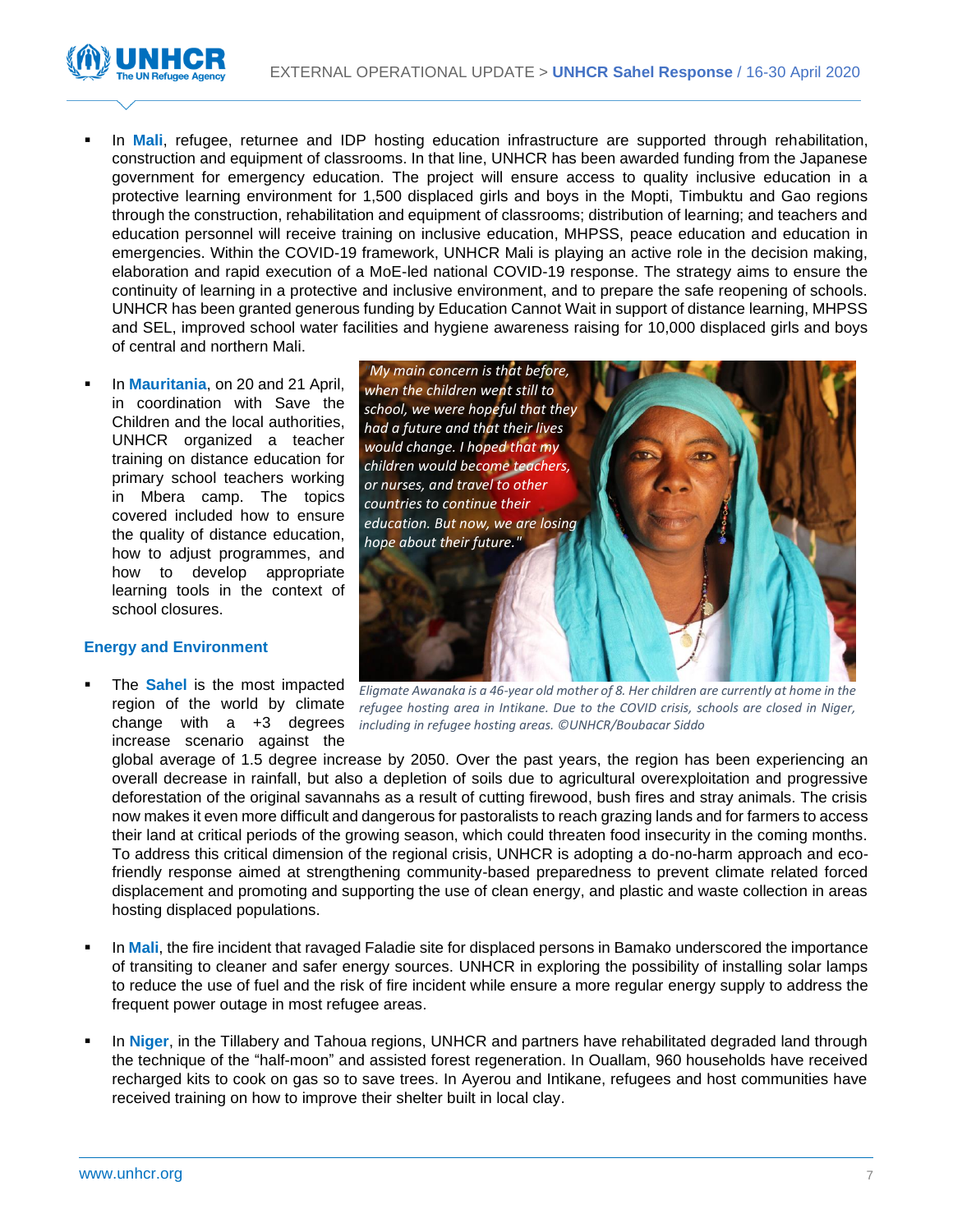

- In Mali, refugee, returnee and IDP hosting education infrastructure are supported through rehabilitation, construction and equipment of classrooms. In that line, UNHCR has been awarded funding from the Japanese government for emergency education. The project will ensure access to quality inclusive education in a protective learning environment for 1,500 displaced girls and boys in the Mopti, Timbuktu and Gao regions through the construction, rehabilitation and equipment of classrooms; distribution of learning; and teachers and education personnel will receive training on inclusive education, MHPSS, peace education and education in emergencies. Within the COVID-19 framework, UNHCR Mali is playing an active role in the decision making, elaboration and rapid execution of a MoE-led national COVID-19 response. The strategy aims to ensure the continuity of learning in a protective and inclusive environment, and to prepare the safe reopening of schools. UNHCR has been granted generous funding by Education Cannot Wait in support of distance learning, MHPSS and SEL, improved school water facilities and hygiene awareness raising for 10,000 displaced girls and boys of central and northern Mali.
- In **Mauritania**, on 20 and 21 April. in coordination with Save the Children and the local authorities, UNHCR organized a teacher training on distance education for primary school teachers working in Mbera camp. The topics covered included how to ensure the quality of distance education, how to adjust programmes, and how to develop appropriate learning tools in the context of school closures.

### **Energy and Environment**

The **Sahel** is the most impacted region of the world by climate change with a +3 degrees increase scenario against the



*Eligmate Awanaka is a 46-year old mother of 8. Her children are currently at home in the refugee hosting area in Intikane. Due to the COVID crisis, schools are closed in Niger, including in refugee hosting areas. ©UNHCR/Boubacar Siddo*

global average of 1.5 degree increase by 2050. Over the past years, the region has been experiencing an overall decrease in rainfall, but also a depletion of soils due to agricultural overexploitation and progressive deforestation of the original savannahs as a result of cutting firewood, bush fires and stray animals. The crisis now makes it even more difficult and dangerous for pastoralists to reach grazing lands and for farmers to access their land at critical periods of the growing season, which could threaten food insecurity in the coming months. To address this critical dimension of the regional crisis, UNHCR is adopting a do-no-harm approach and ecofriendly response aimed at strengthening community-based preparedness to prevent climate related forced displacement and promoting and supporting the use of clean energy, and plastic and waste collection in areas hosting displaced populations.

- In **Mali**, the fire incident that ravaged Faladie site for displaced persons in Bamako underscored the importance of transiting to cleaner and safer energy sources. UNHCR in exploring the possibility of installing solar lamps to reduce the use of fuel and the risk of fire incident while ensure a more regular energy supply to address the frequent power outage in most refugee areas.
- In Niger, in the Tillabery and Tahoua regions, UNHCR and partners have rehabilitated degraded land through the technique of the "half-moon" and assisted forest regeneration. In Ouallam, 960 households have received recharged kits to cook on gas so to save trees. In Ayerou and Intikane, refugees and host communities have received training on how to improve their shelter built in local clay.